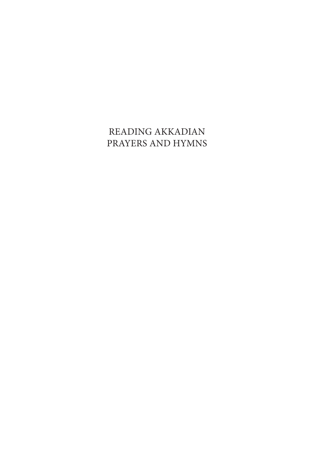## Reading Akkadian Prayers and Hymns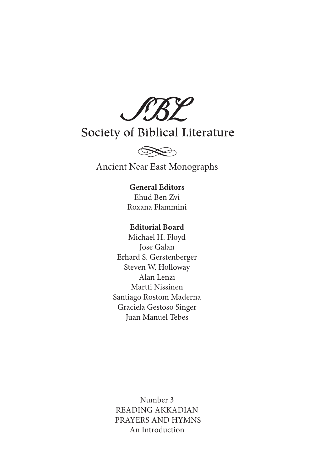SBL

# Society of Biblical Literature



Ancient Near East Monographs

**General Editors** Ehud Ben Zvi Roxana Flammini

**Editorial Board**

Michael H. Floyd Jose Galan Erhard S. Gerstenberger Steven W. Holloway Alan Lenzi Martti Nissinen Santiago Rostom Maderna Graciela Gestoso Singer Juan Manuel Tebes

Number 3 Reading Akkadian Prayers and Hymns An Introduction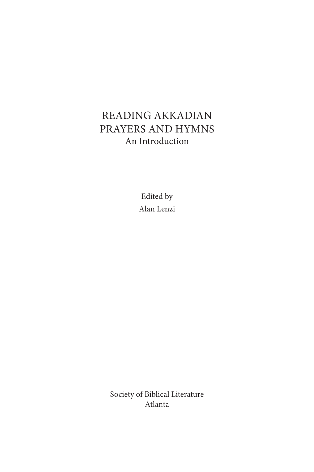## Reading Akkadian Prayers and Hymns An Introduction

Edited by Alan Lenzi

Society of Biblical Literature Atlanta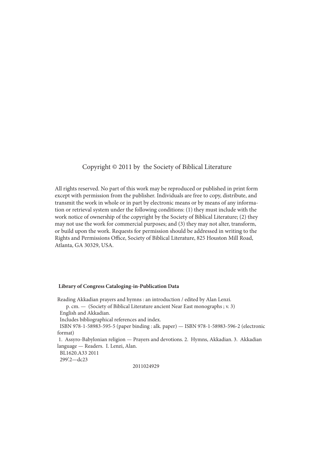Copyright © 2011 by the Society of Biblical Literature

All rights reserved. No part of this work may be reproduced or published in print form except with permission from the publisher. Individuals are free to copy, distribute, and transmit the work in whole or in part by electronic means or by means of any information or retrieval system under the following conditions: (1) they must include with the work notice of ownership of the copyright by the Society of Biblical Literature; (2) they may not use the work for commercial purposes; and (3) they may not alter, transform, or build upon the work. Requests for permission should be addressed in writing to the Rights and Permissions Office, Society of Biblical Literature, 825 Houston Mill Road, Atlanta, GA 30329, USA.

#### **Library of Congress Cataloging-in-Publication Data**

Reading Akkadian prayers and hymns : an introduction / edited by Alan Lenzi. p. cm. — (Society of Biblical Literature ancient Near East monographs ; v. 3) English and Akkadian. Includes bibliographical references and index. ISBN 978-1-58983-595-5 (paper binding : alk. paper) — ISBN 978-1-58983-596-2 (electronic format) 1. Assyro-Babylonian religion — Prayers and devotions. 2. Hymns, Akkadian. 3. Akkadian language — Readers. I. Lenzi, Alan. BL1620.A33 2011 299'.2—dc23 2011024929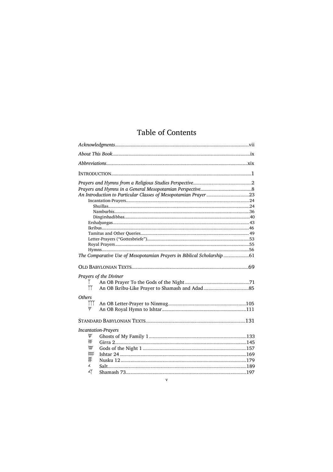## **Table of Contents**

| The Comparative Use of Mesopotamian Prayers in Biblical Scholarship |  |
|---------------------------------------------------------------------|--|
|                                                                     |  |
|                                                                     |  |
| Prayers of the Diviner                                              |  |
| L                                                                   |  |
| Π                                                                   |  |
|                                                                     |  |
| <b>Others</b>                                                       |  |
| m                                                                   |  |
| ψ                                                                   |  |
|                                                                     |  |
| <b>Incantation-Prayers</b>                                          |  |
| ₩                                                                   |  |
| ₩                                                                   |  |
| ₩                                                                   |  |
| ₩                                                                   |  |
| ₩                                                                   |  |
| L                                                                   |  |
| ۷Ţ                                                                  |  |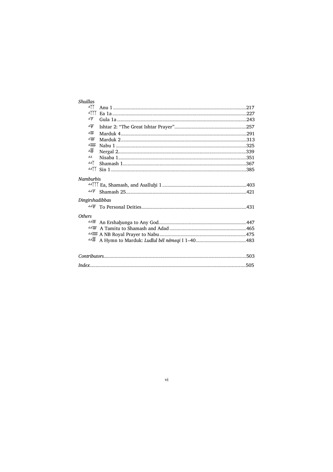| Shuillas                 |  |
|--------------------------|--|
| ۷T                       |  |
| ∡m                       |  |
| $\sqrt{\Psi}$            |  |
| ∡Ψ                       |  |
| ∡₩                       |  |
| ∡₩                       |  |
| 41111                    |  |
| 4∰                       |  |
| $\mathcal{A}\mathcal{A}$ |  |
| 44                       |  |
|                          |  |
| Namburbis<br>ZZA         |  |
| Dingirshadibbas          |  |
|                          |  |
| <b>Others</b>            |  |
| $44$ HH                  |  |
|                          |  |
|                          |  |
|                          |  |
|                          |  |
|                          |  |
|                          |  |

### $\mathbf{vi}$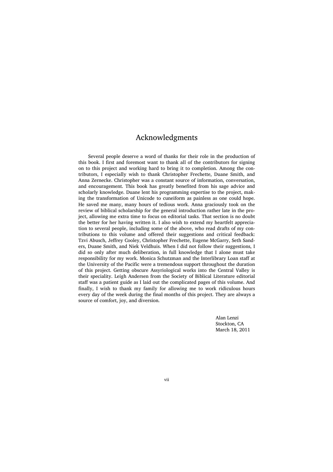### Acknowledgments

Several people deserve a word of thanks for their role in the production of this book. I first and foremost want to thank all of the contributors for signing on to this project and working hard to bring it to completion. Among the contributors, I especially wish to thank Christopher Frechette, Duane Smith, and Anna Zernecke. Christopher was a constant source of information, conversation, and encouragement. This book has greatly benefited from his sage advice and scholarly knowledge. Duane lent his programming expertise to the project, making the transformation of Unicode to cuneiform as painless as one could hope. He saved me many, many hours of tedious work. Anna graciously took on the review of biblical scholarship for the general introduction rather late in the project, allowing me extra time to focus on editorial tasks. That section is no doubt the better for her having written it. I also wish to extend my heartfelt appreciation to several people, including some of the above, who read drafts of my contributions to this volume and offered their suggestions and critical feedback: Tzvi Abusch, Jeffrey Cooley, Christopher Frechette, Eugene McGarry, Seth Sanders, Duane Smith, and Niek Veldhuis. When I did not follow their suggestions, I did so only after much deliberation, in full knowledge that I alone must take responsibility for my work. Monica Schutzman and the Interlibrary Loan staff at the University of the Pacific were a tremendous support throughout the duration of this project. Getting obscure Assyriological works into the Central Valley is their speciality. Leigh Andersen from the Society of Biblical Literature editorial staff was a patient guide as I laid out the complicated pages of this volume. And finally, I wish to thank my family for allowing me to work ridiculous hours every day of the week during the final months of this project. They are always a source of comfort, joy, and diversion.

> Alan Lenzi Stockton, CA March 18, 2011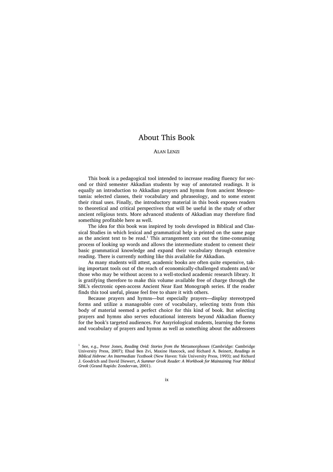### About This Book

### ALAN LENZI

This book is a pedagogical tool intended to increase reading fluency for second or third semester Akkadian students by way of annotated readings. It is equally an introduction to Akkadian prayers and hymns from ancient Mesopotamia: selected classes, their vocabulary and phraseology, and to some extent their ritual uses. Finally, the introductory material in this book exposes readers to theoretical and critical perspectives that will be useful in the study of other ancient religious texts. More advanced students of Akkadian may therefore find something profitable here as well.

The idea for this book was inspired by tools developed in Biblical and Classical Studies in which lexical and grammatical help is printed on the same page as the ancient text to be read.<sup>1</sup> This arrangement cuts out the time-consuming process of looking up words and allows the intermediate student to cement their basic grammatical knowledge and expand their vocabulary through extensive reading. There is currently nothing like this available for Akkadian.

As many students will attest, academic books are often quite expensive, taking important tools out of the reach of economically-challenged students and/or those who may be without access to a well-stocked academic research library. It is gratifying therefore to make this volume available free of charge through the SBL's electronic open-access Ancient Near East Monograph series. If the reader finds this tool useful, please feel free to share it with others.

Because prayers and hymns—but especially prayers—display stereotyped forms and utilize a manageable core of vocabulary, selecting texts from this body of material seemed a perfect choice for this kind of book. But selecting prayers and hymns also serves educational interests beyond Akkadian fluency for the book's targeted audiences. For Assyriological students, learning the forms and vocabulary of prayers and hymns as well as something about the addressees

<sup>&</sup>lt;sup>1</sup> See, e.g., Peter Jones, *Reading Ovid: Stories from the Metamorphoses* (Cambridge: Cambridge University Press, 2007); Ehud Ben Zvi, Maxine Hancock, and Richard A. Beinert, *Readings in Biblical Hebrew: An Intermediate Textbook* (New Haven: Yale University Press, 1993); and Richard J. Goodrich and David Diewert, *A Summer Greek Reader: A Workbook for Maintaining Your Biblical Greek* (Grand Rapids: Zondervan, 2001).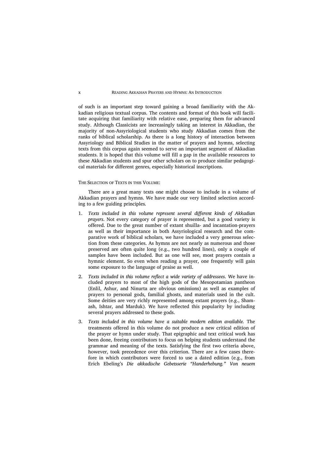of such is an important step toward gaining a broad familiarity with the Akkadian religious textual corpus. The contents and format of this book will facilitate acquiring that familiarity with relative ease, preparing them for advanced study. Although Classicists are increasingly taking an interest in Akkadian, the majority of non-Assyriological students who study Akkadian comes from the ranks of biblical scholarship. As there is a long history of interaction between Assyriology and Biblical Studies in the matter of prayers and hymns, selecting texts from this corpus again seemed to serve an important segment of Akkadian students. It is hoped that this volume will fill a gap in the available resources to these Akkadian students and spur other scholars on to produce similar pedagogical materials for different genres, especially historical inscriptions.

### THE SELECTION OF TEXTS IN THIS VOLUME:

There are a great many texts one might choose to include in a volume of Akkadian prayers and hymns. We have made our very limited selection according to a few guiding principles.

- 1. *Texts included in this volume represent several different kinds of Akkadian prayers*. Not every category of prayer is represented, but a good variety is offered. Due to the great number of extant shuilla- and incantation-prayers as well as their importance in both Assyriological research and the comparative work of biblical scholars, we have included a very generous selection from these categories. As hymns are not nearly as numerous and those preserved are often quite long (e.g., two hundred lines), only a couple of samples have been included. But as one will see, most prayers contain a hymnic element. So even when reading a prayer, one frequently will gain some exposure to the language of praise as well.
- 2. *Texts included in this volume reflect a wide variety of addressees*. We have included prayers to most of the high gods of the Mesopotamian pantheon (Enlil, Ashur, and Ninurta are obvious omissions) as well as examples of prayers to personal gods, familial ghosts, and materials used in the cult. Some deities are very richly represented among extant prayers (e.g., Shamash, Ishtar, and Marduk). We have reflected this popularity by including several prayers addressed to these gods.
- 3. *Texts included in this volume have a suitable modern edition available.* The treatments offered in this volume do not produce a new critical edition of the prayer or hymn under study. That epigraphic and text critical work has been done, freeing contributors to focus on helping students understand the grammar and meaning of the texts. Satisfying the first two criteria above, however, took precedence over this criterion. There are a few cases therefore in which contributors were forced to use a dated edition (e.g., from Erich Ebeling's *Die akkadische Gebetsserie "Handerhebung." Von neuem*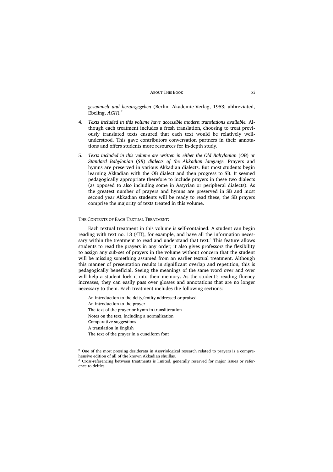*gesammelt und herausgegeben* (Berlin: Akademie-Verlag, 1953; abbreviated, Ebeling, *AGH*).<sup>2</sup>

- 4. *Texts included in this volume have accessible modern translations available.* Although each treatment includes a fresh translation, choosing to treat previously translated texts ensured that each text would be relatively wellunderstood. This gave contributors conversation partners in their annotations and offers students more resources for in-depth study.
- 5. *Texts included in this volume are written in either the Old Babylonian* (*OB*) *or Standard Babylonian* (*SB*) *dialects of the Akkadian language.* Prayers and hymns are preserved in various Akkadian dialects. But most students begin learning Akkadian with the OB dialect and then progress to SB. It seemed pedagogically appropriate therefore to include prayers in these two dialects (as opposed to also including some in Assyrian or peripheral dialects). As the greatest number of prayers and hymns are preserved in SB and most second year Akkadian students will be ready to read these, the SB prayers comprise the majority of texts treated in this volume.

### THE CONTENTS OF EACH TEXTUAL TREATMENT:

Each textual treatment in this volume is self-contained. A student can begin reading with text no. 13 ( $\langle$  $\uparrow$  $\uparrow$  $\uparrow$ ), for example, and have all the information necessary within the treatment to read and understand that text.<sup>3</sup> This feature allows students to read the prayers in any order; it also gives professors the flexibility to assign any sub-set of prayers in the volume without concern that the student will be missing something assumed from an earlier textual treatment. Although this manner of presentation results in significant overlap and repetition, this is pedagogically beneficial. Seeing the meanings of the same word over and over will help a student lock it into their memory. As the student's reading fluency increases, they can easily pass over glosses and annotations that are no longer necessary to them. Each treatment includes the following sections:

An introduction to the deity/entity addressed or praised An introduction to the prayer The text of the prayer or hymn in transliteration Notes on the text, including a normalization Comparative suggestions A translation in English The text of the prayer in a cuneiform font

<sup>&</sup>lt;sup>2</sup> One of the most pressing desiderata in Assyriological research related to prayers is a comprehensive edition of all of the known Akkadian shuillas.

<sup>&</sup>lt;sup>3</sup> Cross-referencing between treatments is limited, generally reserved for major issues or reference to deities.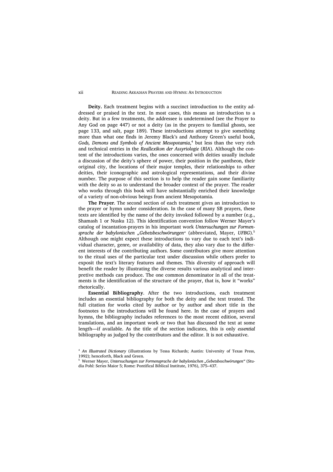**Deity.** Each treatment begins with a succinct introduction to the entity addressed or praised in the text. In most cases, this means an introduction to a deity. But in a few treatments, the addressee is undetermined (see the Prayer to Any God on page 447) or not a deity (as in the prayers to familial ghosts, see page 133, and salt, page 189). These introductions attempt to give something more than what one finds in Jeremy Black's and Anthony Green's useful book, *Gods, Demons and Symbols of Ancient Mesopotamia*, 4 but less than the very rich and technical entries in the *Reallexikon der Assyriologie* (*RlA*). Although the content of the introductions varies, the ones concerned with deities usually include a discussion of the deity's sphere of power, their position in the pantheon, their original city, the locations of their major temples, their relationships to other deities, their iconographic and astrological representations, and their divine number. The purpose of this section is to help the reader gain some familiarity with the deity so as to understand the broader context of the prayer. The reader who works through this book will have substantially enriched their knowledge of a variety of non-obvious beings from ancient Mesopotamia.

**The Prayer**. The second section of each treatment gives an introduction to the prayer or hymn under consideration. In the case of many SB prayers, these texts are identified by the name of the deity invoked followed by a number (e.g., Shamash 1 or Nusku 12). This identification convention follow Werner Mayer's catalog of incantation-prayers in his important work *Untersuchungen zur Formensprache der babylonischen "Gebetsbeschwörungen"* (abbreviated, Mayer, *UFBG*).<sup>5</sup> Although one might expect these introductions to vary due to each text's individual character, genre, or availability of data, they also vary due to the different interests of the contributing authors. Some contributors give more attention to the ritual uses of the particular text under discussion while others prefer to exposit the text's literary features and themes. This diversity of approach will benefit the reader by illustrating the diverse results various analytical and interpretive methods can produce. The one common denominator in all of the treatments is the identification of the structure of the prayer, that is, how it "works" rhetorically.

**Essential Bibliography**. After the two introductions, each treatment includes an essential bibliography for both the deity and the text treated. The full citation for works cited by author or by author and short title in the footnotes to the introductions will be found here. In the case of prayers and hymns, the bibliography includes references to the most recent edition, several translations, and an important work or two that has discussed the text at some length—if available. As the title of the section indicates, this is only *essential*  bibliography as judged by the contributors and the editor. It is not exhaustive.

<sup>4</sup> *An Illustrated Dictionary* (illustrations by Tessa Richards; Austin: University of Texas Press, 1992); henceforth, Black and Green.

<sup>&</sup>lt;sup>5</sup> Werner Mayer, *Untersuchungen zur Formensprache der babylonischen "Gebetsbeschwörungen" (Stu*dia Pohl: Series Maior 5; Rome: Pontifical Biblical Institute, 1976), 375–437.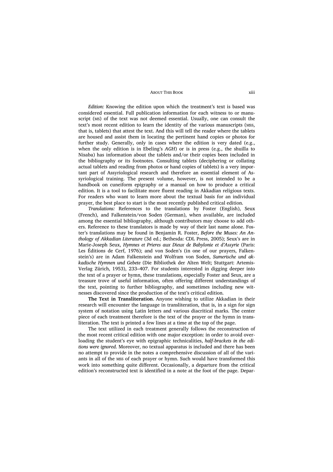*Edition:* Knowing the edition upon which the treatment's text is based was considered essential. Full publication information for each witness to or manuscript (MS) of the text was not deemed essential. Usually, one can consult the text's most recent edition to learn the identity of the various manuscripts (MSS, that is, tablets) that attest the text. And this will tell the reader where the tablets are housed and assist them in locating the pertinent hand copies or photos for further study. Generally, only in cases where the edition is very dated (e.g., when the only edition is in Ebeling's *AGH*) or is in press (e.g., the shuilla to Nisaba) has information about the tablets and/or their copies been included in the bibliography or its footnotes. Consulting tablets (deciphering or collating actual tablets and reading from photos or hand copies of tablets) is a very important part of Assyriological research and therefore an essential element of Assyriological training. The present volume, however, is not intended to be a handbook on cuneiform epigraphy or a manual on how to produce a critical edition. It is a tool to facilitate more fluent reading in Akkadian religious texts. For readers who want to learn more about the textual basis for an individual prayer, the best place to start is the most recently published critical edition.

*Translations:* References to the translations by Foster (English), Seux (French), and Falkenstein/von Soden (German), when available, are included among the essential bibliography, although contributors may choose to add others. Reference to these translators is made by way of their last name alone. Foster's translations may be found in Benjamin R. Foster, *Before the Muses: An Anthology of Akkadian Literature* (3d ed.; Bethesda: CDL Press, 2005); Seux's are in Marie-Joseph Seux, *Hymnes et Prieres aux Dieux de Babylonie et d'Assyrie* (Paris: Les Éditions de Cerf, 1976); and von Soden's (in one of our prayers, Falkenstein's) are in Adam Falkenstein and Wolfram von Soden, *Sumerische und akkadische Hymnen und Gebete* (Die Bibliothek der Alten Welt; Stuttgart: Artemis-Verlag Zürich, 1953), 233–407. For students interested in digging deeper into the text of a prayer or hymn, these translations, especially Foster and Seux, are a treasure trove of useful information, often offering different understandings of the text, pointing to further bibliography, and sometimes including new witnesses discovered since the production of the text's critical edition.

**The Text in Transliteration**. Anyone wishing to utilize Akkadian in their research will encounter the language in transliteration, that is, in a sign for sign system of notation using Latin letters and various diacritical marks. The center piece of each treatment therefore is the text of the prayer or the hymn in transliteration. The text is printed a few lines at a time at the top of the page.

The text utilized in each treatment generally follows the reconstruction of the most recent critical edition with one major exception: in order to avoid overloading the student's eye with epigraphic technicalities, *half-brackets in the editions were ignored*. Moreover, no textual apparatus is included and there has been no attempt to provide in the notes a comprehensive discussion of all of the variants in all of the MSS of each prayer or hymn. Such would have transformed this work into something quite different. Occasionally, a departure from the critical edition's reconstructed text is identified in a note at the foot of the page. Depar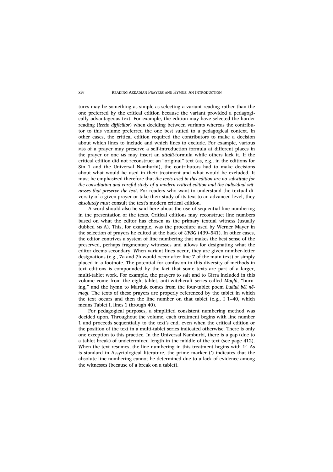tures may be something as simple as selecting a variant reading rather than the one preferred by the critical edition because the variant provided a pedagogically advantageous text. For example, the edition may have selected the harder reading (*lectio difficilior*) when deciding between variants whereas the contributor to this volume preferred the one best suited to a pedagogical context. In other cases, the critical edition required the contributors to make a decision about which lines to include and which lines to exclude. For example, various MSS of a prayer may preserve a self-introduction formula at different places in the prayer or one MS may insert an *attalû-*formula while others lack it. If the critical edition did not reconstruct an "original" text (as, e.g., in the editions for Sin 1 and the Universal Namburbi), the contributors had to make decisions about what would be used in their treatment and what would be excluded. It must be emphasized therefore that *the texts used in this edition are no substitute for the consultation and careful study of a modern critical edition and the individual witnesses that preserve the text*. For readers who want to understand the textual diversity of a given prayer or take their study of its text to an advanced level, they *absolutely must* consult the text's modern critical edition.

A word should also be said here about the use of sequential line numbering in the presentation of the texts. Critical editions may reconstruct line numbers based on what the editor has chosen as the primary textual witness (usually dubbed MS A). This, for example, was the procedure used by Werner Mayer in the selection of prayers he edited at the back of *UFBG* (439–541). In other cases, the editor contrives a system of line numbering that makes the best sense of the preserved, perhaps fragmentary witnesses and allows for designating what the editor deems secondary. When variant lines occur, they are given number-letter designations (e.g., 7a and 7b would occur after line 7 of the main text) or simply placed in a footnote. The potential for confusion in this diversity of methods in text editions is compounded by the fact that some texts are part of a larger, multi-tablet work. For example, the prayers to salt and to Girra included in this volume come from the eight-tablet, anti-witchcraft series called *Maqlû*, "burning," and the hymn to Marduk comes from the four-tablet poem *Ludlul bēl nēmeqi*. The texts of these prayers are properly referenced by the tablet in which the text occurs and then the line number on that tablet (e.g., I 1–40, which means Tablet I, lines 1 through 40).

For pedagogical purposes, a simplified consistent numbering method was decided upon. Throughout the volume, each treatment begins with line number 1 and proceeds sequentially to the text's end, even when the critical edition or the position of the text in a multi-tablet series indicated otherwise. There is only one exception to this practice. In the Universal Namburbi, there is a gap (due to a tablet break) of undetermined length in the middle of the text (see page 412). When the text resumes, the line numbering in this treatment begins with 1ʹ. As is standard in Assyriological literature, the prime marker (ʹ) indicates that the absolute line numbering cannot be determined due to a lack of evidence among the witnesses (because of a break on a tablet).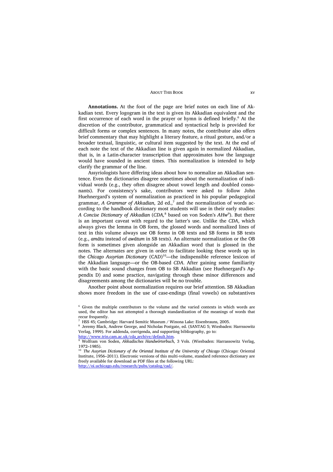**Annotations.** At the foot of the page are brief notes on each line of Akkadian text. Every logogram in the text is given its Akkadian equivalent and the first occurrence of each word in the prayer or hymn is defined briefly.<sup>6</sup> At the discretion of the contributor, grammatical and syntactical help is provided for difficult forms or complex sentences. In many notes, the contributor also offers brief commentary that may highlight a literary feature, a ritual gesture, and/or a broader textual, linguistic, or cultural item suggested by the text. At the end of each note the text of the Akkadian line is given again in normalized Akkadian, that is, in a Latin-character transcription that approximates how the language would have sounded in ancient times. This normalization is intended to help clarify the grammar of the line.

Assyriologists have differing ideas about how to normalize an Akkadian sentence. Even the dictionaries disagree sometimes about the normalization of individual words (e.g., they often disagree about vowel length and doubled consonants). For consistency's sake, contributors were asked to follow John Huehnergard's system of normalization as practiced in his popular pedagogical grammar, *A Grammar of Akkadian*, 2d ed.,<sup>7</sup> and the normalization of words according to the handbook dictionary most students will use in their early studies: *A Concise Dictionary of Akkadian* (*CDA,*<sup>8</sup> based on von Soden's *AHw*<sup>9</sup> ). But there is an important caveat with regard to the latter's use. Unlike the *CDA*, which always gives the lemma in OB form, the glossed words and normalized lines of text in this volume always use OB forms in OB texts and SB forms in SB texts (e.g., *amātu* instead of *awātum* in SB texts). An alternate normalization or the OB form is sometimes given alongside an Akkadian word that is glossed in the notes. The alternates are given in order to facilitate looking these words up in the *Chicago Assyrian Dictionary* (CAD)<sup>10</sup>—the indispensible reference lexicon of the Akkadian language—or the OB-based *CDA*. After gaining some familiarity with the basic sound changes from OB to SB Akkadian (see Huehnergard's Appendix D) and some practice, navigating through these minor differences and disagreements among the dictionaries will be no trouble.

Another point about normalization requires our brief attention. SB Akkadian shows more freedom in the use of case-endings (final vowels) on substantives

8 Jeremy Black, Andrew George, and Nicholas Postgate, ed. (SANTAG 5; Wiesbaden: Harrssowitz Verlag, 1999). For addenda, corrigenda, and supporting bibliography, go to:

http://www.trin.cam.ac.uk/cda\_archive/default.htm.

<sup>10</sup> The Assyrian Dictionary of the Oriental Institute of the University of Chicago (Chicago: Oriental Institute, 1956–2011). Electronic versions of this multi-volume, standard reference dictionary are freely available for download as PDF files at the following URL: http://oi.uchicago.edu/research/pubs/catalog/cad/.

<sup>6</sup> Given the multiple contributors to the volume and the varied contexts in which words are used, the editor has not attempted a thorough standardization of the meanings of words that recur frequently.

<sup>7</sup> HSS 45; Cambridge: Harvard Semitic Museum / Winona Lake: Eisenbrauns, 2005.

<sup>9</sup> Wolfram von Soden, *Akkadisches Handwörterbuch*, 3 Vols. (Wiesbaden: Harrassowitz Verlag, 1972–1985).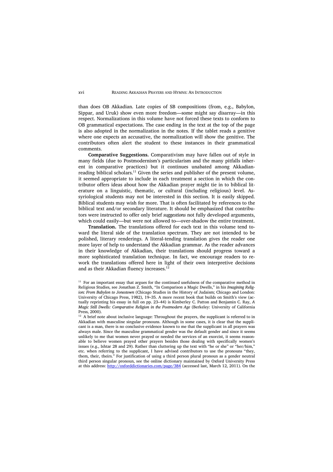than does OB Akkadian. Late copies of SB compositions (from, e.g., Babylon, Sippar, and Uruk) show even more freedom—some might say disarray—in this respect. Normalizations in this volume have not forced these texts to conform to OB grammatical expectations. The case ending in the text at the top of the page is also adopted in the normalization in the notes. If the tablet reads a genitive where one expects an accusative, the normalization will show the genitive. The contributors often alert the student to these instances in their grammatical comments.

**Comparative Suggestions.** Comparativism may have fallen out of style in many fields (due to Postmodernism's particularism and the many pitfalls inherent in comparative practices) but it continues unabated among Akkadianreading biblical scholars.<sup>11</sup> Given the series and publisher of the present volume, it seemed appropriate to include in each treatment a section in which the contributor offers ideas about how the Akkadian prayer might tie in to biblical literature on a linguistic, thematic, or cultural (including religious) level. Assyriological students may not be interested in this section. It is easily skipped. Biblical students may wish for more. That is often facilitated by references to the biblical text and/or secondary literature. It should be emphasized that contributors were instructed to offer only brief *suggestions* not fully developed arguments, which could easily—but were not allowed to—over-shadow the entire treatment.

**Translation.** The translations offered for each text in this volume tend toward the literal side of the translation spectrum. They are not intended to be polished, literary renderings. A literal-tending translation gives the reader one more layer of help to understand the Akkadian grammar. As the reader advances in their knowledge of Akkadian, their translations should progress toward a more sophisticated translation technique. In fact, we encourage readers to rework the translations offered here in light of their own interpretive decisions and as their Akkadian fluency increases.<sup>12</sup>

 $11$  For an important essay that argues for the continued usefulness of the comparative method in Religious Studies, see Jonathan Z. Smith, "In Comparison a Magic Dwells," in his *Imagining Religion: From Babylon to Jonestown* (Chicago Studies in the History of Judaism; Chicago and London: University of Chicago Press, 1982), 19–35. A more recent book that builds on Smith's view (actually reprinting his essay in full on pp. 23–44) is Kimberley C. Patton and Benjamin C. Ray, *A Magic Still Dwells: Comparative Religion in the Postmodern Age* (Berkeley: University of California Press, 2000).

<sup>&</sup>lt;sup>12</sup> A brief note about inclusive language: Throughout the prayers, the supplicant is referred to in Akkadian with masculine singular pronouns. Although in some cases, it is clear that the supplicant is a man, there is no conclusive evidence known to me that the supplicant in all prayers was always male. Since the masculine grammatical gender was the default gender and since it seems unlikely to me that women never prayed or needed the services of an exorcist, it seems reasonable to believe women prayed other prayers besides those dealing with specifically women's issues (e.g., Ishtar 28 and 29). Rather than cluttering up the text with "he or she" or "her/him," etc. when referring to the supplicant, I have advised contributors to use the pronouns "they, them, their, theirs." For justification of using a third person plural pronoun as a gender neutral third person singular pronoun, see the online dictionary maintained by Oxford University Press at this address: http://oxforddictionaries.com/page/384 (accessed last, March 12, 2011). On the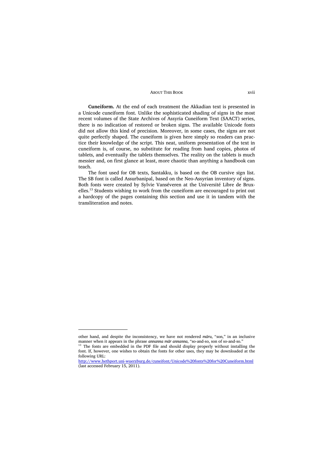**Cuneiform.** At the end of each treatment the Akkadian text is presented in a Unicode cuneiform font. Unlike the sophisticated shading of signs in the most recent volumes of the State Archives of Assyria Cuneiform Text (SAACT) series, there is no indication of restored or broken signs. The available Unicode fonts did not allow this kind of precision. Moreover, in some cases, the signs are not quite perfectly shaped. The cuneiform is given here simply so readers can practice their knowledge of the script. This neat, uniform presentation of the text in cuneiform is, of course, no substitute for reading from hand copies, photos of tablets, and eventually the tablets themselves. The reality on the tablets is much messier and, on first glance at least, more chaotic than anything a handbook can teach.

The font used for OB texts, Santakku, is based on the OB cursive sign list. The SB font is called Assurbanipal, based on the Neo-Assyrian inventory of signs. Both fonts were created by Sylvie Vanséveren at the Université Libre de Bruxelles.<sup>13</sup> Students wishing to work from the cuneiform are encouraged to print out a hardcopy of the pages containing this section and use it in tandem with the transliteration and notes.

other hand, and despite the inconsistency, we have not rendered *māru*, "son," in an inclusive manner when it appears in the phrase *annanna mār annanna*, "so-and-so, son of so-and-so."

 $13$  The fonts are embedded in the PDF file and should display properly without installing the font. If, however, one wishes to obtain the fonts for other uses, they may be downloaded at the following URL:

http://www.hethport.uni-wuerzburg.de/cuneifont/Unicode%20fonts%20for%20Cuneiform.html (last accessed February 15, 2011).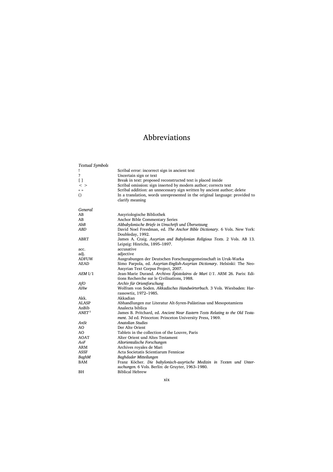## Abbreviations

| <b>Textual Symbols</b> |                                                                               |
|------------------------|-------------------------------------------------------------------------------|
| Ţ                      | Scribal error: incorrect sign in ancient text                                 |
| ?                      | Uncertain sign or text                                                        |
| $\Box$                 | Break in text: proposed reconstructed text is placed inside                   |
| $\langle$ $>$          | Scribal omission: sign inserted by modern author; corrects text               |
| $\ll$ $\gg$            | Scribal addition: an unnecessary sign written by ancient author; delete       |
| $\Omega$               | In a translation, words unrepresented in the original language: provided to   |
|                        | clarify meaning                                                               |
| General                |                                                                               |
| AB                     | Assyriologische Bibliothek                                                    |
| AB                     | Anchor Bible Commentary Series                                                |
| AbB                    | Altbabylonische Briefe in Umschrift und Übersetzung                           |
| ABD                    | David Noel Freedman, ed. The Anchor Bible Dictionary. 6 Vols. New York:       |
|                        | Doubleday, 1992.                                                              |
| <b>ABRT</b>            | James A. Craig. Assyrian and Babylonian Religious Texts. 2 Vols. AB 13.       |
|                        | Leipzig: Hinrichs, 1895-1897.                                                 |
| acc.                   | accusative                                                                    |
| adj.                   | adjective                                                                     |
| <b>ADFUW</b>           | Ausgrabungen der Deutschen Forschungsgemeinschaft in Uruk-Warka               |
| <b>AEAD</b>            | Simo Parpola, ed. Assyrian-English-Assyrian Dictionary. Helsinki: The Neo-    |
|                        | Assyrian Text Corpus Project, 2007.                                           |
| AEM I/1                | Jean-Marie Durand. Archives Épistolaires de Mari I/1. ARM 26. Paris: Edi-     |
|                        | tions Recherche sur le Civilisations, 1988.                                   |
| AfO                    | Archiv für Orientforschung                                                    |
| AHw                    | Wolfram von Soden, Akkadisches Handwörterbuch, 3 Vols, Wiesbaden: Har-        |
|                        | rassowtiz, 1972-1985.                                                         |
| Akk.                   | Akkadian                                                                      |
| <b>ALASP</b>           | Abhandlungen zur Literatur Alt-Syren-Palästinas und Mesopotamiens             |
| AnBib                  | Analecta biblica                                                              |
| ANET <sup>3</sup>      | James B. Pritchard, ed. Ancient Near Eastern Texts Relating to the Old Testa- |
|                        | ment. 3d ed. Princeton: Princeton University Press, 1969.                     |
| AnSt                   | Anatolian Studies                                                             |
| AO                     | Der Alte Orient                                                               |
| AO                     | Tablets in the collection of the Louvre, Paris                                |
| AOAT                   | Alter Orient und Altes Testament                                              |
| AoF                    | Altorientalische Forschungen                                                  |
| ARM                    | Archives royales de Mari                                                      |
| ASSF                   | Acta Societatis Scientiarum Fennicae                                          |
| BaghM                  | Baghdader Mitteilungen                                                        |
| BAM                    | Franz Köcher. Die babylonisch-assyrische Medizin in Texten und Unter-         |
|                        | suchungen. 6 Vols. Berlin: de Gruyter, 1963-1980.                             |
| BН                     | <b>Biblical Hebrew</b>                                                        |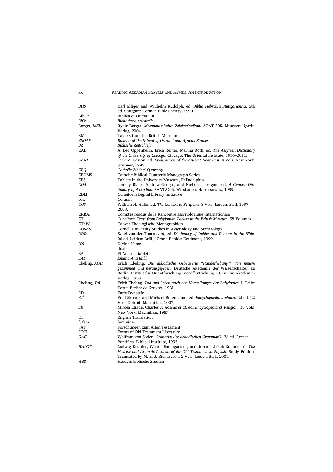| XX                         | READING AKKADIAN PRAYERS AND HYMNS: AN INTRODUCTION                                                                                                                                                                  |
|----------------------------|----------------------------------------------------------------------------------------------------------------------------------------------------------------------------------------------------------------------|
| BHS                        | Karl Elliger and Willhelm Rudolph, ed. Biblia Hebraica Stuttgartensia. 5th<br>ed. Stuttgart: German Bible Society, 1990.                                                                                             |
| BibOr                      | Biblica et Orientalia                                                                                                                                                                                                |
| BiOr                       | Bibliotheca orientalis                                                                                                                                                                                               |
| Borger, MZL                | Rykle Borger. Mesopotamisches Zeichenlexikon. AOAT 305. Münster: Ugarit-<br>Verlag, 2004.                                                                                                                            |
| BM                         | Tablets from the British Museum                                                                                                                                                                                      |
| <b>BSOAS</b>               | Bulletin of the School of Oriental and African Studies                                                                                                                                                               |
| BZ.                        | Biblische Zeitschrift                                                                                                                                                                                                |
| CAD                        | A. Leo Oppenheim, Erica Reiner, Martha Roth, ed. The Assyrian Dictionary<br>of the University of Chicago. Chicago: The Oriental Institute, 1956-2011.                                                                |
| <b>CANE</b>                | Jack M. Sasson, ed. Civilizations of the Ancient Near East. 4 Vols. New York:<br>Scribner, 1995.                                                                                                                     |
| CBQ                        | Catholic Biblical Quarterly                                                                                                                                                                                          |
| <b>CBQMS</b><br><b>CBS</b> | Catholic Biblical Quarterly Monograph Series<br>Tablets in the University Museum, Philadelphia                                                                                                                       |
| <b>CDA</b>                 | Jeremy Black, Andrew George, and Nicholas Postgate, ed. A Concise Dic-                                                                                                                                               |
| <b>CDLI</b>                | tionary of Akkadian. SANTAG 5. Wiesbaden: Harrassowitz, 1999.<br>Cuneiform Digital Library Initiative                                                                                                                |
| col.                       | Column                                                                                                                                                                                                               |
| COS                        | William H. Hallo, ed. The Context of Scripture. 3 Vols. Leiden: Brill, 1997-<br>2003.                                                                                                                                |
| <b>CRRAI</b>               | Comptes rendus de la Rencontre assyriologique internationale                                                                                                                                                         |
| CT                         | Cuneiform Texts from Babylonian Tablets in the British Museum, 58 Volumes                                                                                                                                            |
| <b>CThW</b>                | Calwer Theologische Monographien                                                                                                                                                                                     |
| <b>CUSAS</b>               | Cornell University Studies in Assyriology and Sumerology                                                                                                                                                             |
| <b>DDD</b>                 | Karel van der Toorn et al, ed. Dictionary of Deities and Demons in the Bible,<br>2d ed. Leiden: Brill / Grand Rapids: Eerdmans, 1999.                                                                                |
| DN                         | Divine Name                                                                                                                                                                                                          |
| d                          | dual                                                                                                                                                                                                                 |
| EA                         | El Amarna tablet                                                                                                                                                                                                     |
| <b>FAE</b>                 | Enūma Anu Enlil<br>Erich Ebeling. Die akkadische Gebetsserie "Handerhebung." Von neuem                                                                                                                               |
| Ebeling, AGH               | gesammelt und herausgegeben. Deutsche Akademie der Wissenschaften zu<br>Berlin. Institut für Orientforschung. Veröffentlichung 20. Berlin: Akademie-<br>Verlag, 1953.                                                |
| Ebeling, TuL               | Erich Ebeling. Tod und Leben nach den Vorstellungen der Babylonier. I. Teile:<br>Texte. Berlin: de Gruyter, 1931.                                                                                                    |
| ED                         | Early Dynastic                                                                                                                                                                                                       |
| $EJ^2$                     | Fred Skolnik and Michael Berenbaum, ed. Encyclopaedia Judaica. 2d ed. 22<br>Vols. Detroit: Macmillan, 2007.                                                                                                          |
| ER                         | Mircea Eliade, Charles J. Adams et al, ed. Encyclopedia of Religion. 16 Vols.<br>New York: Macmillan, 1987.                                                                                                          |
| <b>ET</b>                  | <b>English Translation</b>                                                                                                                                                                                           |
| f, fem.                    | feminine                                                                                                                                                                                                             |
| <b>FAT</b>                 | Forschungen zum Alten Testament                                                                                                                                                                                      |
| <b>FOTL</b>                | Forms of Old Testament Literature                                                                                                                                                                                    |
| GAG                        | Wolfram von Soden. Grundriss der akkadischen Grammatik. 3d ed. Rome:<br>Pontifical Biblical Institute, 1995.                                                                                                         |
| <b>HALOT</b>               | Ludwig Koehler, Walter Baumgartner, and Johann Jakob Stamm, ed. The<br>Hebrew and Aramaic Lexicon of the Old Testament in English. Study Edition.<br>Translated by M. E. J. Richardson. 2 Vols. Leiden: Brill, 2001. |
| <b>HBS</b>                 | Herders biblische Studien                                                                                                                                                                                            |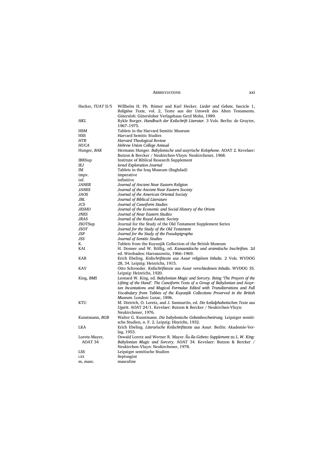ABBREVIATIONS xxi

| Hecker, TUAT II/5   | Willhelm H. Ph. Römer and Karl Hecker. Lieder und Gebete, fascicle 1,<br>Religiöse Texte, vol. 2, Texte aus der Umwelt des Alten Testaments.<br>Gütersloh: Gütersloher Verlagshaus Gerd Mohn, 1989. |
|---------------------|-----------------------------------------------------------------------------------------------------------------------------------------------------------------------------------------------------|
| HKL                 | Rykle Borger. Handbuch der Keilschrift Literatur. 3 Vols. Berlin: de Gruyter,<br>1967-1975.                                                                                                         |
| <b>HSM</b>          | Tablets in the Harvard Semitic Museum                                                                                                                                                               |
| <b>HSS</b>          | <b>Harvard Semitic Studies</b>                                                                                                                                                                      |
| <b>HTR</b>          | Harvard Theological Review                                                                                                                                                                          |
| <b>HUCA</b>         | Hebrew Union College Annual                                                                                                                                                                         |
| Hunger, BAK         | Hermann Hunger. Babylonische und assyrische Kolophone. AOAT 2. Kevelaer:                                                                                                                            |
|                     | Butzon & Bercker / Neukirchen-Vluyn: Neukirchener, 1968.                                                                                                                                            |
| <b>IBRSup</b>       | Institute of Biblical Research Supplement                                                                                                                                                           |
| IEJ                 | Israel Exploration Journal                                                                                                                                                                          |
| IM                  | Tablets in the Iraq Museum (Baghdad)                                                                                                                                                                |
| impv.               | imperative                                                                                                                                                                                          |
| inf.                | infinitive                                                                                                                                                                                          |
| <i>JANER</i>        | Journal of Ancient Near Eastern Religion                                                                                                                                                            |
| <i>JANES</i>        | Journal of the Ancient Near Eastern Society                                                                                                                                                         |
| JAOS                | Journal of the American Oriental Society                                                                                                                                                            |
| JBL                 | Journal of Biblical Literature                                                                                                                                                                      |
| JCS                 | Journal of Cuneiform Studies                                                                                                                                                                        |
| <i><b>JESHO</b></i> | Journal of the Economic and Social History of the Orient                                                                                                                                            |
| <i>JNES</i>         | Journal of Near Eastern Studies                                                                                                                                                                     |
| JRAS                | Journal of the Royal Asiatic Society                                                                                                                                                                |
| <b>JSOTSup</b>      | Journal for the Study of the Old Testament Supplement Series                                                                                                                                        |
| <i>JSOT</i>         | Journal for the Study of the Old Testament                                                                                                                                                          |
| <b>JSP</b>          | Journal for the Study of the Pseudepigrapha                                                                                                                                                         |
| JSS                 | Journal of Semitic Studies                                                                                                                                                                          |
| К.                  | Tablets from the Kuyunjik Collection of the British Museum                                                                                                                                          |
| KAI                 | H. Donner and W. Röllig, ed. Kanaanäische und aramäische Inschriften. 2d                                                                                                                            |
|                     | ed. Wiesbaden: Harrassowitz, 1966-1969.                                                                                                                                                             |
| KAR                 | Erich Ebeling. Keilschrifttexte aus Assur religiösen Inhalts. 2 Vols. WVDOG                                                                                                                         |
|                     | 28, 34. Leipzig: Heinrichs, 1915.                                                                                                                                                                   |
| KAV                 | Otto Schroeder. Keilschrifttexte aus Assur verschiedenen Inhalts. WVDOG 35.                                                                                                                         |
|                     | Leipzig: Heinrichs, 1920.                                                                                                                                                                           |
| King, BMS           | Leonard W. King, ed. Babylonian Magic and Sorcery. Being 'The Prayers of the                                                                                                                        |
|                     | Lifting of the Hand'. The Cuneiform Texts of a Group of Babylonian and Assyr-                                                                                                                       |
|                     | ian Incantations and Magical Formulae Edited with Transliterations and Full                                                                                                                         |
|                     | Vocabulary from Tablets of the Kuyunjik Collections Preserved in the British                                                                                                                        |
|                     | Museum. London: Luzac, 1896.                                                                                                                                                                        |
| KTU                 | M. Dietrich, O. Loretz, and J. Sanmartín, ed. Die keilalphabetischen Texte aus                                                                                                                      |
|                     | Ugarit. AOAT 24/1. Kevelaer: Butzon & Bercker / Neukirchen-Vluyn:                                                                                                                                   |
|                     | Neukirchener, 1976.                                                                                                                                                                                 |
| Kunstmann, BGB      | Walter G. Kunstmann. Die babylonische Gebetsbeschwörung. Leipziger semiti-                                                                                                                          |
|                     | sche Studien, n. F. 2. Leipzig: Hinrichs, 1932.                                                                                                                                                     |
| <b>LKA</b>          | Erich Ebeling. Literarische Keilschrifttexte aus Assur. Berlin: Akademie-Ver-                                                                                                                       |
|                     |                                                                                                                                                                                                     |
| Loretz-Mayer,       | lag, 1953.<br>Oswald Loretz and Werner R. Mayer. Šu-íla-Gebete: Supplement zu L. W. King:                                                                                                           |
| <b>AOAT 34</b>      | Babylonian Magic and Sorcery. AOAT 34. Kevelaer: Butzon & Bercker /                                                                                                                                 |
|                     | Neukirchen-Vluyn: Neukirchener, 1978.                                                                                                                                                               |
| LSS                 | Leipziger semitische Studien                                                                                                                                                                        |
| <b>LXX</b>          | Septuagint                                                                                                                                                                                          |
|                     | masculine                                                                                                                                                                                           |
| m, masc.            |                                                                                                                                                                                                     |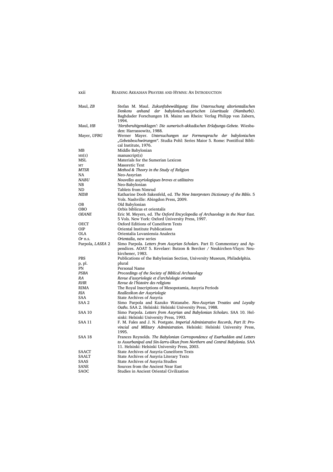| xxii             | READING AKKADIAN PRAYERS AND HYMNS: AN INTRODUCTION                                                                                                                                                                                   |
|------------------|---------------------------------------------------------------------------------------------------------------------------------------------------------------------------------------------------------------------------------------|
| Maul, ZB         | Stefan M. Maul. Zukunftsbewältigung: Eine Untersuchung altorientalischen<br>der babylonisch-assyrischen Löserituale<br>Denkens anhand<br>(Namburbi).<br>Baghdader Forschungen 18. Mainz am Rhein: Verlag Philipp von Zabern,<br>1994. |
| Maul, HB         | 'Herzberuhigensklagen': Die sumerisch-akkadischen Eršahunga-Gebete. Wiesba-<br>den: Harrassowitz, 1988.                                                                                                                               |
| Mayer, UFBG      | Werner Mayer. Untersuchungen zur Formensprache der babylonischen<br>"Gebetsbeschwörungen". Studia Pohl: Series Maior 5. Rome: Pontifical Bibli-<br>cal Institute, 1976.                                                               |
| <b>MB</b>        | Middle Babylonian                                                                                                                                                                                                                     |
| MS(S)            | manuscript(s)                                                                                                                                                                                                                         |
| <b>MSL</b>       | Materials for the Sumerian Lexicon                                                                                                                                                                                                    |
| <b>MT</b>        | <b>Masoretic Text</b>                                                                                                                                                                                                                 |
| <b>MTSR</b>      | Method & Theory in the Study of Religion                                                                                                                                                                                              |
| NA               | Neo-Assyrian                                                                                                                                                                                                                          |
| <b>NABU</b>      | Nouvelles assyriologiques breves et utilitaires                                                                                                                                                                                       |
| NB               | Neo-Babylonian                                                                                                                                                                                                                        |
| <b>ND</b>        | Tablets from Nimrud                                                                                                                                                                                                                   |
| <b>NIDB</b>      | Katharine Doob Sakenfeld, ed. The New Interpreters Dictionary of the Bible. 5                                                                                                                                                         |
|                  | Vols. Nashville: Abingdon Press, 2009.                                                                                                                                                                                                |
| <b>OB</b>        | Old Babylonian                                                                                                                                                                                                                        |
| <b>OBO</b>       | Orbis biblicus et orientalis                                                                                                                                                                                                          |
| <b>OEANE</b>     | Eric M. Meyers, ed. The Oxford Encyclopedia of Archaeology in the Near East.<br>5 Vols. New York: Oxford University Press, 1997.                                                                                                      |
| <b>OECT</b>      | Oxford Editions of Cuneiform Texts                                                                                                                                                                                                    |
| <b>OIP</b>       | Oriental Institute Publications                                                                                                                                                                                                       |
| <b>OLA</b>       | Orientalia Lovaniensia Analecta                                                                                                                                                                                                       |
| Or $n.s.$        | Orientalia, new series                                                                                                                                                                                                                |
| Parpola, LASEA 2 | Simo Parpola. Letters from Assyrian Scholars. Part II: Commentary and Ap-<br>pendices. AOAT 5. Kevelaer: Butzon & Bercker / Neukirchen-Vluyn: Neu-<br>kirchener, 1983.                                                                |
| PBS              | Publications of the Babylonian Section, University Museum, Philadelphia.                                                                                                                                                              |
| p, pl.           | plural                                                                                                                                                                                                                                |
| PN               | Personal Name                                                                                                                                                                                                                         |
| <b>PSBA</b>      | Proceedings of the Society of Biblical Archaeology                                                                                                                                                                                    |
| RA               | Revue d'assyriologie et d'archéologie orientale                                                                                                                                                                                       |
| <b>RHR</b>       | Revue de l'histoire des religions                                                                                                                                                                                                     |
| <b>RIMA</b>      | The Royal Inscriptions of Mesopotamia, Assyria Periods                                                                                                                                                                                |
| RIA              | Reallexikon der Assyriologie                                                                                                                                                                                                          |
| <b>SAA</b>       | State Archives of Assyria                                                                                                                                                                                                             |
| SAA 2            | Simo Parpola and Kazuko Watanabe. Neo-Assyrian Treaties and Loyalty<br>Oaths. SAA 2. Helsinki: Helsinki University Press, 1988.                                                                                                       |
| <b>SAA 10</b>    | Simo Parpola. Letters from Assyrian and Babylonian Scholars. SAA 10. Hel-<br>sinki: Helsinki University Press, 1993.                                                                                                                  |
| <b>SAA 11</b>    | F. M. Fales and J. N. Postgate. Imperial Administrative Records, Part II: Pro-<br>vincial and Military Administration. Helsinki: Helsinki University Press,<br>1995.                                                                  |
| <b>SAA 18</b>    | Frances Reynolds. The Babylonian Correspondence of Esarhaddon and Letters<br>to Assurbanipal and Sin-šarru-iškun from Northern and Central Babylonia. SAA<br>11. Helsinki: Helsinki University Press, 2003.                           |
| <b>SAACT</b>     | State Archives of Assyria Cuneiform Texts                                                                                                                                                                                             |
| <b>SAALT</b>     | State Archives of Assyria Literary Texts                                                                                                                                                                                              |
| <b>SAAS</b>      | State Archives of Assyria Studies                                                                                                                                                                                                     |
| <b>SANE</b>      | Sources from the Ancient Near East                                                                                                                                                                                                    |
|                  |                                                                                                                                                                                                                                       |